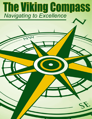# **The Viking Compass** Navigating to Excellence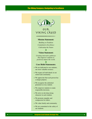## The Viking Compass: Navigating to Excellence



Our viking creed

#### **Mission Statement:**

*Building on Tradition Committed to Excellence Cultivating the Future*

#### **Vision Statement:**

*Creating innovative pathways that empower students to positively impact the world.*

#### **Core Belief Statements:**

- We are dedicated to our students. our most valuable resource.
- We respect all individuals in our school and community.
- We appreciate that each person has a unique purpose.
- We recognize the unlimited potential in every student.
- We empower students to make responsible decisions.
- We strive to develop strong character in each student.
- We promote empathy and compassion for others.
- We value family and community.
- We are committed to the safety of our students.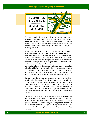#### The Viking Compass: Navigating to Excellence



Evergreen Local Schools is a rural school district committed to honoring its past while providing its current students with excellent instruction and diverse opportunities. Evergreen provides each student with the resources and education necessary to forge a successful future armed with the knowledge and skills vital to compete in today's global society.

In order to continue meeting student needs while keeping up with the continuous evolving world of education, the District's leadership team completed a year-long comprehensive evaluation of Evergreen Schools. The leadership team began with formal and informal assessments of the District's strengths and weaknesses. Evaluations included a Strength, Weakness, Opportunity, and Threat (SWOT) analysis, internal and external surveys, as well as staff and community meetings. From its findings, the leadership team developed the following all-inclusive strategic plan that will serve as the directional framework for the Evergreen Local School District as it navigates into the next five years. The leadership team included District administrators, teachers, staff, parents, and community members.

The first steps in the strategic planning process were to clearly identify what Evergreen Local Schools value most and what the District stands for as an educational institution. The District's leadership team recreated vision and mission statements as well as developed a set of core beliefs that clearly state the District's passion, commitment, and purpose. District goals and objectives have also been constructed to help focus on continuous improvement measures.

The goals of the strategic plan are to increase student opportunities, improve student preparedness for the future, and to improve the overall student experience while at Evergreen. The District's strategic plan, entitled *The Viking Compass: Navigating to Excellence*, will continue to build upon Evergreen's strong educational traditions and ensure the District's place as one of Ohio's excellent school systems.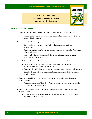**I. Goal - Academics Commit to academic excellence and student development.**

## **OBJECTIVES & STRATEGIES:**

- 1. Rank among the highest performing districts in the state on the district report card.
	- Analyze District and student performance data to adjust instructional strategies to improve District ranking.
- 2. Enhance student learning opportunities for college and career readiness.
	- Refine academic procedures to maximize college and career readiness opportunities.
	- Ensure our students are afforded equitable opportunities in preparation for entering college and careers.
	- Acknowledge rigorous curriculum designed to challenge students through a multi-tiered grading system.
- 3. Evaluate and refine curriculum delivery and assessment for optimal student learning.
	- Engage students in an academic curriculum to promote intellectual curiosity, problem solving, and communication skills.
	- Ensure a high quality, balanced assessment system to meet the needs of all students.
	- Embed high expectations for students and teachers through scaffold learning for ongoing success.
- 4. Equip teachers with educational strategies and resources to build optimal capacity for student learning.
	- Guide teachers and staff through professional development opportunities that align to the goals of the strategic plan.
- 5. Provide technological resources to enhance student learning both inside and beyond the classroom setting.
	- Examine and revise the technology plan to augment and amplify the curricular practices within the District.

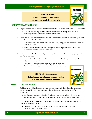## **II. Goal - Culture**

**Promote a cohesive culture for the empowerment of our students.**

## **OBJECTIVES & STRATEGIES:**

- 1. Empower students with leadership skills and opportunities within the District and community.
	- Develop a Leadership Program for students to learn leadership styles, develop leadership qualities, and model leadership behaviors.
- 2. Promote a safe and inclusive environment that enables every student to successfully develop his or her personal skills and talents.
	- Promote a culture that fosters emotional well-being, engagement, and resilience for our students and staff.
	- Provide social and emotional well-being resources that promotes staff and student connectedness and individual life balance.
- 3. Cultivate a unified culture driven by common goals in which staff are engaged, supported, and feel appreciated.
	- Expand District opportunities that allow time for collaboration, innovation, and integration among staff.
	- Strengthen District programming to highlight staff practices that promote and recognize individual efforts and experiences.

## **III. Goal - Engagement**

**Establish and sustain open communication with all students and stakeholders.**

#### **OBJECTIVES & STRATEGIES:**

- 1. Build capacity within a balanced communications plan that includes branding, education and outreach with the primary audience being students, parents/guardians, staff and community.
	- Develop and implement a detailed District communications plan, style guide, and social media policy to facilitate a consistent and clear message to the community.
- 2. Develop and enhance partnerships throughout Northwest Ohio that will support and enrich students' learning experiences.
	- Cultivate regional relationships that enhance curricular, co-curricular, and extra-curricular student experiences.



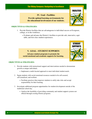## **IV. Goal - Facilities**

**Provide optimal learning environments for the educational involvement of our students.**

#### **OBJECTIVES & STRATEGIES:**

- 1. Provide District facilities that are advantageous to individual success at Evergreen, college, or in the workforce.
	- Evaluate and advance the District's facilities to provide safe, innovative, equitable, and first-class student experiences.

## **V. GOAL - STUDENT SUPPORTS**

**Advance student programs to promote the social-emotional and academic supports for learning.**



- 1. Provide students with instructional support and interventions needed to demonstrate growth as unique individuals.
	- Implement a multi-faceted approach to meet individual student needs.
- 2. Equip students with social-emotional resources needed to be self-assured, self-actualized, and resilient.
	- Facilitate practices that empower students to safely take risks and accept responsibility for their learning.
- 3. Investigate additional program opportunities for student development outside of the traditional school day.
	- Analyze the feasibility of providing community and student support systems not offered through existing District programs.



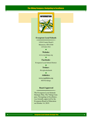## The Viking Compass: Navigating to Excellence



## **Evergreen Local Schools**

14544 County Road 6 Metamora, OH 43540 419-644-3521

#### **Website:**

www.evgvikings.org

**Facebook:**

Evergreen Local School District

## **Twitter:**

@evglocalschools  $\ddot{\bullet}$ 

## **Athletics:**

[www.evgathletics.org](http://www.evgathletics.org) @EVGvikings

## **Board Approved**

The Evergreen Local Schools Strategic Plan, The Viking Compass: Navigating to Excellence, was formally approved by the Evergreen Board of Education on October 14, 2019.